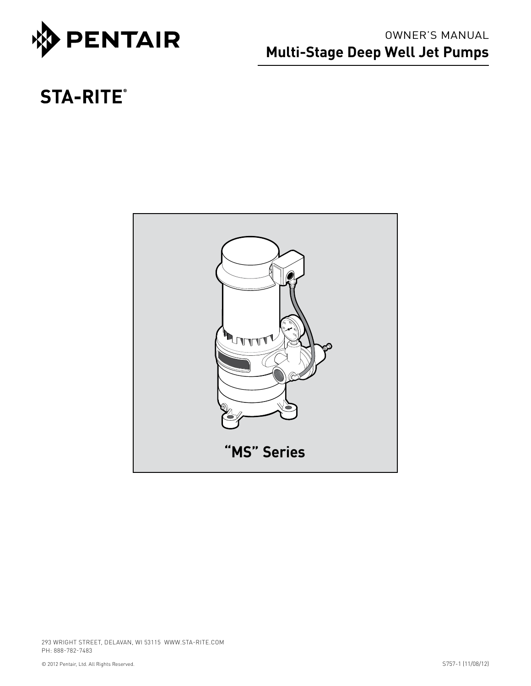

## OWNER'S MANUAL **Multi-Stage Deep Well Jet Pumps**

# **STA-RITE®**

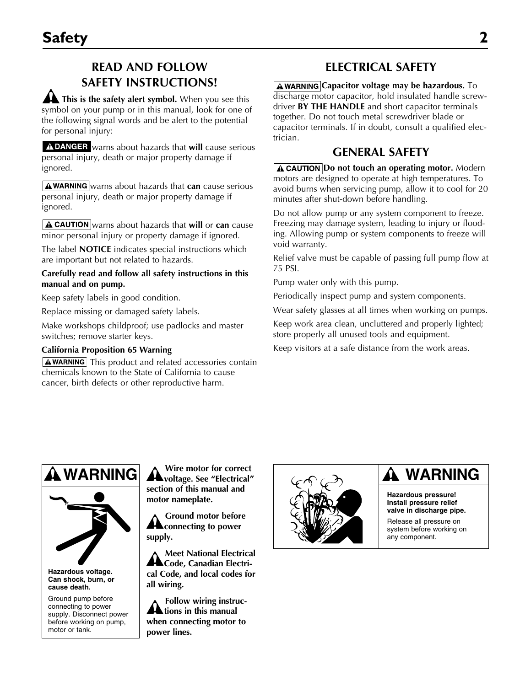## **READ AND FOLLOW SAFETY INSTRUCTIONS!**

**A** This is the safety alert symbol. When you see this symbol on your pump or in this manual, look for one of the following signal words and be alert to the potential for personal injury:

A DANGER warns about hazards that will cause serious personal injury, death or major property damage if ignored.

 $\mathbf{A}$  **WARNING** warns about hazards that **can** cause serious personal injury, death or major property damage if ignored.

**A CAUTION** warns about hazards that will or can cause minor personal injury or property damage if ignored.

The label **NOTICE** indicates special instructions which are important but not related to hazards.

#### **Carefully read and follow all safety instructions in this manual and on pump.**

Keep safety labels in good condition.

Replace missing or damaged safety labels.

Make workshops childproof; use padlocks and master switches; remove starter keys.

#### **California Proposition 65 Warning**

 $\Delta$  WARNING This product and related accessories contain chemicals known to the State of California to cause cancer, birth defects or other reproductive harm.

### **Electrical Safety**

**AWARNING Capacitor voltage may be hazardous.** To discharge motor capacitor, hold insulated handle screwdriver **BY THE HANDLE** and short capacitor terminals together. Do not touch metal screwdriver blade or capacitor terminals. If in doubt, consult a qualified electrician.

### **General Safety**

**A CAUTION Do not touch an operating motor.** Modern motors are designed to operate at high temperatures. To avoid burns when servicing pump, allow it to cool for 20 minutes after shut-down before handling.

Do not allow pump or any system component to freeze. Freezing may damage system, leading to injury or flooding. Allowing pump or system components to freeze will void warranty.

Relief valve must be capable of passing full pump flow at 75 PSI.

Pump water only with this pump.

Periodically inspect pump and system components.

Wear safety glasses at all times when working on pumps.

Keep work area clean, uncluttered and properly lighted; store properly all unused tools and equipment.

Keep visitors at a safe distance from the work areas.

# **WARNING**



**Hazardous voltage. Can shock, burn, or cause death.**

Ground pump before connecting to power supply. Disconnect power before working on pump, motor or tank.

**Wire motor for correct voltage. See "Electrical" section of this manual and motor nameplate.**

**Ground motor before a** connecting to power **supply.**

**Meet National Electrical**  A Code, Canadian Electri**cal Code, and local codes for all wiring.**

**Follow wiring instruc-A** tions in this manual **when connecting motor to power lines.**



## **WARNING**

**Hazardous pressure! Install pressure relief valve in discharge pipe.**

Release all pressure on system before working on any component.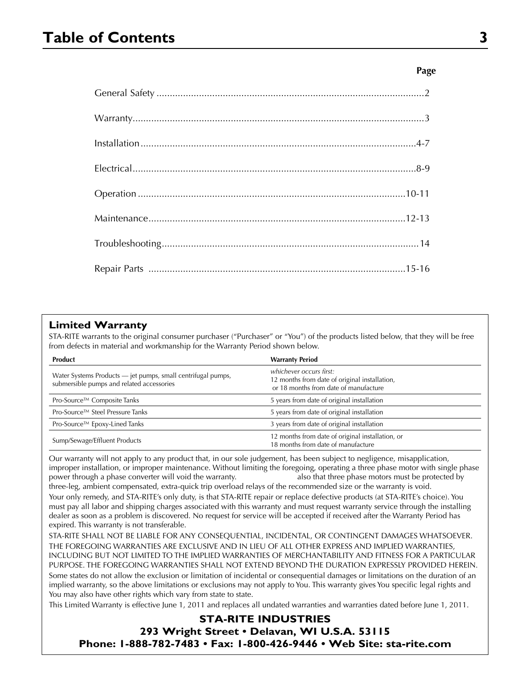## **Table of Contents 3**

#### **Page**

| $\text{Warranty}.\textcolor{red}{\textbf{1}} \textcolor{red}{\textbf{2}} \textcolor{red}{\textbf{3}} \textcolor{red}{\textbf{4}} \textcolor{red}{\textbf{5}} \textcolor{red}{\textbf{6}} \textcolor{red}{\textbf{6}} \textcolor{red}{\textbf{7}} \textcolor{red}{\textbf{7}} \textcolor{red}{\textbf{8}} \textcolor{red}{\textbf{9}} \textcolor{red}{\textbf{10}} \textcolor{red}{\textbf{11}} \textcolor{red}{\textbf{12}} \textcolor{red}{\textbf{13}} \textcolor{red}{\textbf{16}} \textcolor{red}{\textbf{17}} \text$ |  |
|---------------------------------------------------------------------------------------------------------------------------------------------------------------------------------------------------------------------------------------------------------------------------------------------------------------------------------------------------------------------------------------------------------------------------------------------------------------------------------------------------------------------------|--|
|                                                                                                                                                                                                                                                                                                                                                                                                                                                                                                                           |  |
|                                                                                                                                                                                                                                                                                                                                                                                                                                                                                                                           |  |
|                                                                                                                                                                                                                                                                                                                                                                                                                                                                                                                           |  |
|                                                                                                                                                                                                                                                                                                                                                                                                                                                                                                                           |  |
|                                                                                                                                                                                                                                                                                                                                                                                                                                                                                                                           |  |
|                                                                                                                                                                                                                                                                                                                                                                                                                                                                                                                           |  |

#### **Limited Warranty**

STA-RITE warrants to the original consumer purchaser ("Purchaser" or "You") of the products listed below, that they will be free from defects in material and workmanship for the Warranty Period shown below.

| <b>Product</b>                                                                                            | <b>Warranty Period</b>                                                                                            |
|-----------------------------------------------------------------------------------------------------------|-------------------------------------------------------------------------------------------------------------------|
| Water Systems Products - jet pumps, small centrifugal pumps,<br>submersible pumps and related accessories | whichever occurs first:<br>12 months from date of original installation,<br>or 18 months from date of manufacture |
| Pro-Source™ Composite Tanks                                                                               | 5 years from date of original installation                                                                        |
| Pro-Source™ Steel Pressure Tanks                                                                          | 5 years from date of original installation                                                                        |
| Pro-Source™ Epoxy-Lined Tanks                                                                             | 3 years from date of original installation                                                                        |
| Sump/Sewage/Effluent Products                                                                             | 12 months from date of original installation, or<br>18 months from date of manufacture                            |

Our warranty will not apply to any product that, in our sole judgement, has been subject to negligence, misapplication, improper installation, or improper maintenance. Without limiting the foregoing, operating a three phase motor with single phase power through a phase converter will void the warranty. also that three phase motors must be protected by

three-leg, ambient compensated, extra-quick trip overload relays of the recommended size or the warranty is void. Your only remedy, and STA-RITE's only duty, is that STA-RITE repair or replace defective products (at STA-RITE's choice). You must pay all labor and shipping charges associated with this warranty and must request warranty service through the installing dealer as soon as a problem is discovered. No request for service will be accepted if received after the Warranty Period has expired. This warranty is not transferable.

STA-RITE SHALL NOT BE LIABLE FOR ANY CONSEQUENTIAL, INCIDENTAL, OR CONTINGENT DAMAGES WHATSOEVER. THE FOREGOING WARRANTIES ARE EXCLUSIVE AND IN LIEU OF ALL OTHER EXPRESS AND IMPLIED WARRANTIES, INCLUDING BUT NOT LIMITED TO THE IMPLIED WARRANTIES OF MERCHANTABILITY AND FITNESS FOR A PARTICULAR PURPOSE. THE FOREGOING WARRANTIES SHALL NOT EXTEND BEYOND THE DURATION EXPRESSLY PROVIDED HEREIN. Some states do not allow the exclusion or limitation of incidental or consequential damages or limitations on the duration of an implied warranty, so the above limitations or exclusions may not apply to You. This warranty gives You specific legal rights and You may also have other rights which vary from state to state.

This Limited Warranty is effective June 1, 2011 and replaces all undated warranties and warranties dated before June 1, 2011.

#### **STA-RITE INDUSTRIES**

**293 Wright Street • Delavan, WI U.S.A. 53115 Phone: 1-888-782-7483 • Fax: 1-800-426-9446 • Web Site: sta-rite.com**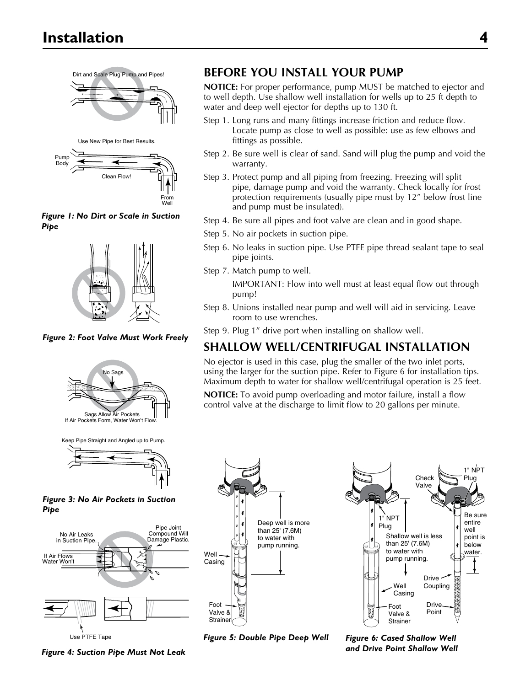Dirt and Scale Plug Pump and Pipes!







1096 0697 *Figure 1: No Dirt or Scale in Suction Pipe*



*Figure 2: Foot Valve Must Work Freely*



Keep Pipe Straight and Angled up to Pump.

**Figure 3: No Air Pockets in Suction** *Pipe*



**Before You Install Your Pump**

**NOTICE:** For proper performance, pump MUST be matched to ejector and to well depth. Use shallow well installation for wells up to 25 ft depth to water and deep well ejector for depths up to 130 ft.

- Step 1. Long runs and many fittings increase friction and reduce flow. Locate pump as close to well as possible: use as few elbows and fittings as possible.
- Step 2. Be sure well is clear of sand. Sand will plug the pump and void the warranty.
- Step 3. Protect pump and all piping from freezing. Freezing will split pipe, damage pump and void the warranty. Check locally for frost protection requirements (usually pipe must by 12" below frost line and pump must be insulated).
- Step 4. Be sure all pipes and foot valve are clean and in good shape.
- Step 5. No air pockets in suction pipe.
- Step 6. No leaks in suction pipe. Use PTFE pipe thread sealant tape to seal pipe joints.
- Step 7. Match pump to well.
	- IMPORTANT: Flow into well must at least equal flow out through pump!
- Step 8. Unions installed near pump and well will aid in servicing. Leave room to use wrenches.
- Step 9. Plug 1" drive port when installing on shallow well.

## **Shallow Well/Centrifugal Installation**

No ejector is used in this case, plug the smaller of the two inlet ports, using the larger for the suction pipe. Refer to Figure 6 for installation tips. Maximum depth to water for shallow well/centrifugal operation is 25 feet.

**NOTICE:** To avoid pump overloading and motor failure, install a flow control valve at the discharge to limit flow to 20 gallons per minute.



 $\mathcal{L}$ entire  $\left| \right|$  Shallow well is less below water.  $\overline{\phantom{a}}$ Well Drive root<br>Valve & Check Valve  $\Lambda$ Plug  $\Box$  $||$   $\mathbb{R}$ 1" NPT Foot l III l  $\sim$  $\epsilon$  than 25' (7.6M)  $\sum$  to water with pump running. Be sure entire well point is below water. Drive · Coupling Drive Point Check Valve 1" NPT lua Casing 1" NPT Plug Foot **Strainer** 

*Figure 5: Double Pipe Deep Well Figure 6: Cased Shallow Well* 

*and Drive Point Shallow Well*

*Figure 4: Suction Pipe Must Not Leak* 1102 0697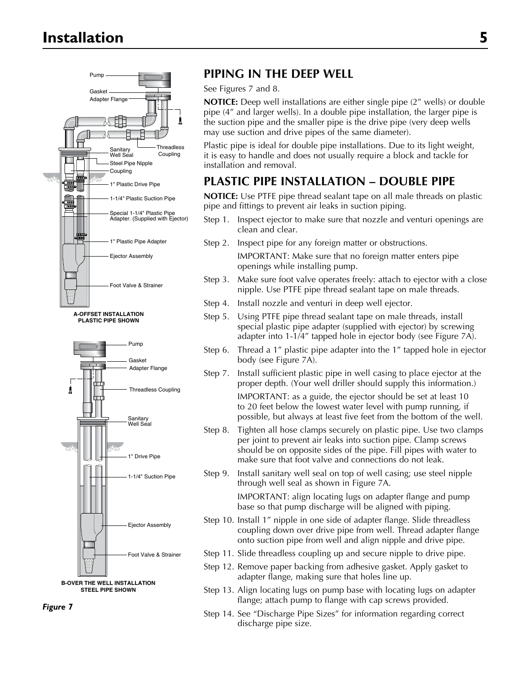

**PLASTIC PIPE SHOWN**





*Figure 7*

### **Pump And Connect PUPING IN THE DEEP WELL**

Adapter Flange **Adapter Flange Adapter Flange Adapter Flange Adapter Flange Adapter Flange Adapter Flange Adapter Flange Adapter Flange Adapter Flange Adapter Flange Adapter Secure MOTICE:** Deep well in pipe (4" and larger wells). In a double pipe installation, the larger pipe is the suction pipe and the smaller pipe is the drive pipe (very deep wells may use suction and drive pipes of the same diameter).

> Plastic pipe is ideal for double pipe installations. Due to its light weight, it is easy to handle and does not usually require a block and tackle for installation and removal.

## PLASTIC PIPE INSTALLATION – DOUBLE PIPE

**NOTICE:** Use PTFE pipe thread sealant tape on all male threads on plastic pipe and fittings to prevent air leaks in suction piping.

- Step 1. Inspect ejector to make sure that nozzle and venturi openings are clean and clear.
- Step 2. Inspect pipe for any foreign matter or obstructions.

IMPORTANT: Make sure that no foreign matter enters pipe openings while installing pump.

- Step 3. Make sure foot valve operates freely: attach to ejector with a close nipple. Use PTFE pipe thread sealant tape on male threads.
- Step 4. Install nozzle and venturi in deep well ejector.
- Step 5. Using PTFE pipe thread sealant tape on male threads, install special plastic pipe adapter (supplied with ejector) by screwing adapter into 1-1/4" tapped hole in ejector body (see Figure 7A).
- Step 6. Thread a 1" plastic pipe adapter into the 1" tapped hole in ejector body (see Figure 7A).
- Step 7. Install sufficient plastic pipe in well casing to place ejector at the proper depth. (Your well driller should supply this information.)

IMPORTANT: as a guide, the ejector should be set at least 10 to 20 feet below the lowest water level with pump running, if possible, but always at least five feet from the bottom of the well.

- Step 8. Tighten all hose clamps securely on plastic pipe. Use two clamps per joint to prevent air leaks into suction pipe. Clamp screws should be on opposite sides of the pipe. Fill pipes with water to make sure that foot valve and connections do not leak.
- Step 9. Install sanitary well seal on top of well casing; use steel nipple through well seal as shown in Figure 7A.

IMPORTANT: align locating lugs on adapter flange and pump base so that pump discharge will be aligned with piping.

- Step 10. Install 1" nipple in one side of adapter flange. Slide threadless coupling down over drive pipe from well. Thread adapter flange onto suction pipe from well and align nipple and drive pipe.
- Step 11. Slide threadless coupling up and secure nipple to drive pipe.
- Step 12. Remove paper backing from adhesive gasket. Apply gasket to adapter flange, making sure that holes line up.
- Step 13. Align locating lugs on pump base with locating lugs on adapter flange; attach pump to flange with cap screws provided.
- Step 14. See "Discharge Pipe Sizes" for information regarding correct discharge pipe size.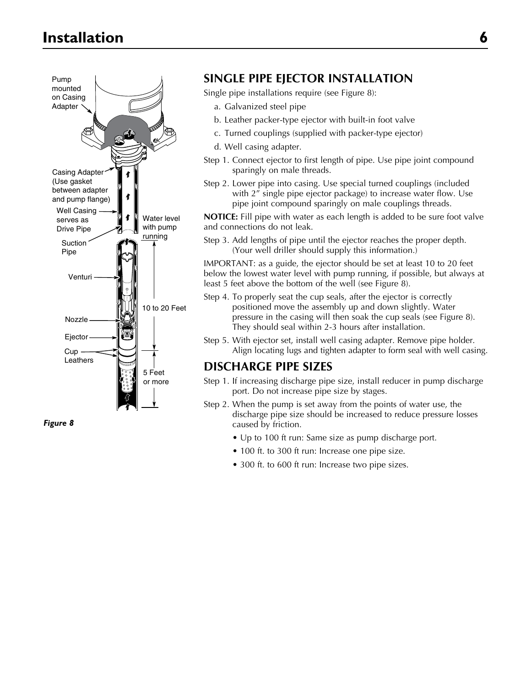

*Figure 8*

#### **SINGLE PIPE EJECTOR INSTALLATION**

Single pipe installations require (see Figure 8):

- a. Galvanized steel pipe
- b. Leather packer-type ejector with built-in foot valve
- c. Turned couplings (supplied with packer-type ejector)
- d. Well casing adapter.
- Step 1. Connect ejector to first length of pipe. Use pipe joint compound sparingly on male threads.
- Step 2. Lower pipe into casing. Use special turned couplings (included with 2<sup>"</sup> single pipe ejector package) to increase water flow. Use pipe joint compound sparingly on male couplings threads.

**NOTICE:** Fill pipe with water as each length is added to be sure foot valve and connections do not leak.

Step 3. Add lengths of pipe until the ejector reaches the proper depth. (Your well driller should supply this information.)

IMPORTANT: as a guide, the ejector should be set at least 10 to 20 feet below the lowest water level with pump running, if possible, but always at least 5 feet above the bottom of the well (see Figure 8).

- Step 4. To properly seat the cup seals, after the ejector is correctly positioned move the assembly up and down slightly. Water pressure in the casing will then soak the cup seals (see Figure 8). They should seal within 2-3 hours after installation.
- Step 5. With ejector set, install well casing adapter. Remove pipe holder. Align locating lugs and tighten adapter to form seal with well casing.

#### **DISCHARGE PIPE SIZES**

- Step 1. If increasing discharge pipe size, install reducer in pump discharge port. Do not increase pipe size by stages.
- Step 2. When the pump is set away from the points of water use, the discharge pipe size should be increased to reduce pressure losses caused by friction.
	- Up to 100 ft run: Same size as pump discharge port.
	- 100 ft. to 300 ft run: Increase one pipe size.
	- 300 ft. to 600 ft run: Increase two pipe sizes.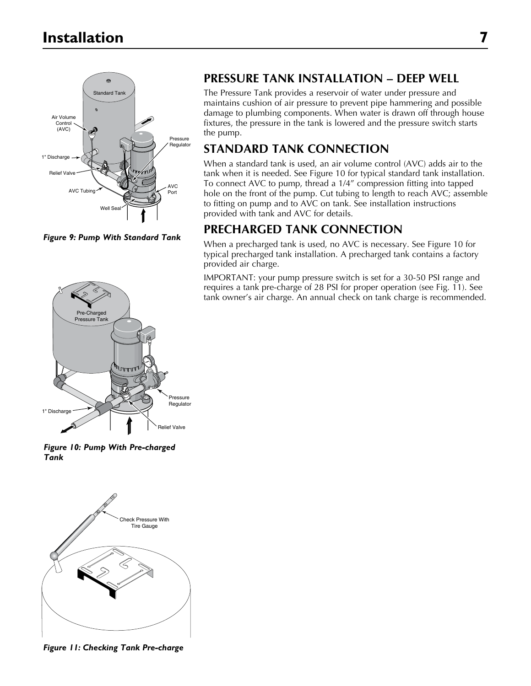

*Figure 9: Pump With Standard Tank*



*Figure 10: Pump With Pre-charged Tank*



**Figure 11: Checking Tank Pre-charge** 

### **PRESSURE TANK INSTALLATION – DEEP WELL**

The Pressure Tank provides a reservoir of water under pressure and maintains cushion of air pressure to prevent pipe hammering and possible damage to plumbing components. When water is drawn off through house fixtures, the pressure in the tank is lowered and the pressure switch starts the pump.

### **STANDARD TANK CONNECTION**

When a standard tank is used, an air volume control (AVC) adds air to the tank when it is needed. See Figure 10 for typical standard tank installation. To connect AVC to pump, thread a 1/4" compression fitting into tapped hole on the front of the pump. Cut tubing to length to reach AVC; assemble to fitting on pump and to AVC on tank. See installation instructions provided with tank and AVC for details.

### **PRECHARGED TANK CONNECTION**

When a precharged tank is used, no AVC is necessary. See Figure 10 for typical precharged tank installation. A precharged tank contains a factory provided air charge.

IMPORTANT: your pump pressure switch is set for a 30-50 PSI range and requires a tank pre-charge of 28 PSI for proper operation (see Fig. 11). See tank owner's air charge. An annual check on tank charge is recommended.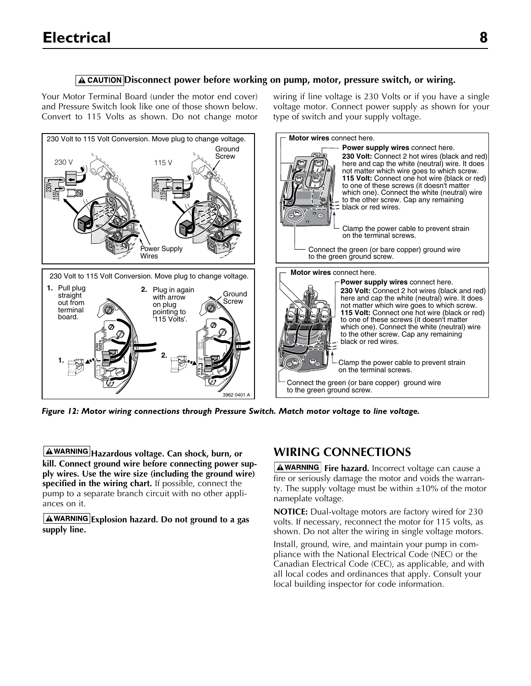#### **A** CAUTION Disconnect power before working on pump, motor, pressure switch, or wiring.

Your Motor Terminal Board (under the motor end cover) and Pressure Switch look like one of those shown below. Convert to 115 Volts as shown. Do not change motor wiring if line voltage is 230 Volts or if you have a single voltage motor. Connect power supply as shown for your type of switch and your supply voltage.



*Figure 12: Motor wiring connections through Pressure Switch. Match motor voltage to line voltage.*

**Hazardous voltage. Can shock, burn, or kill. Connect ground wire before connecting power supply wires. Use the wire size (including the ground wire) specified in the wiring chart.** If possible, connect the pump to a separate branch circuit with no other appliances on it.

**Explosion hazard. Do not ground to a gas supply line.**

### **WIRING CONNECTIONS**

A WARNING | Fire hazard. Incorrect voltage can cause a fire or seriously damage the motor and voids the warranty. The supply voltage must be within  $\pm 10\%$  of the motor nameplate voltage.

**NOTICE:** Dual-voltage motors are factory wired for 230 volts. If necessary, reconnect the motor for 115 volts, as shown. Do not alter the wiring in single voltage motors.

Install, ground, wire, and maintain your pump in compliance with the National Electrical Code (NEC) or the Canadian Electrical Code (CEC), as applicable, and with all local codes and ordinances that apply. Consult your local building inspector for code information.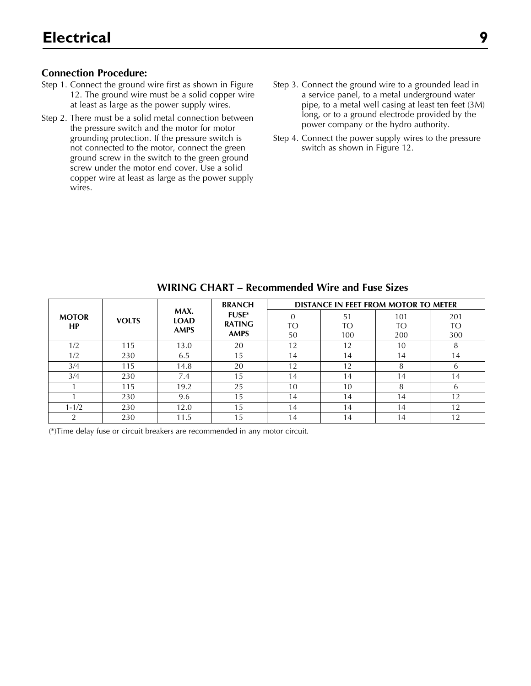#### **Connection Procedure:**

- Step 1. Connect the ground wire first as shown in Figure 12. The ground wire must be a solid copper wire at least as large as the power supply wires.
- Step 2. There must be a solid metal connection between the pressure switch and the motor for motor grounding protection. If the pressure switch is not connected to the motor, connect the green ground screw in the switch to the green ground screw under the motor end cover. Use a solid copper wire at least as large as the power supply wires.
- Step 3. Connect the ground wire to a grounded lead in a service panel, to a metal underground water pipe, to a metal well casing at least ten feet (3M) long, or to a ground electrode provided by the power company or the hydro authority.
- Step 4. Connect the power supply wires to the pressure switch as shown in Figure 12.

|              |     |                                     | <b>BRANCH</b> | <b>DISTANCE IN FEET FROM MOTOR TO METER</b> |     |     |     |  |
|--------------|-----|-------------------------------------|---------------|---------------------------------------------|-----|-----|-----|--|
| <b>MOTOR</b> |     | MAX.<br><b>VOLTS</b><br><b>LOAD</b> | <b>FUSE*</b>  |                                             | 51  | 101 | 201 |  |
| <b>HP</b>    |     | <b>AMPS</b>                         | <b>RATING</b> | TO                                          | TO  | TΟ  | TO  |  |
|              |     |                                     | <b>AMPS</b>   | 50                                          | 100 | 200 | 300 |  |
| 1/2          | 115 | 13.0                                | 20            | 12                                          | 12  | 10  | 8   |  |
| 1/2          | 230 | 6.5                                 | 15            | 14                                          | 14  | 14  | 14  |  |
| 3/4          | 115 | 14.8                                | 20            | 12                                          | 12  | 8   | 6   |  |
| 3/4          | 230 | 7.4                                 | 15            | 14                                          | 14  | 14  | 14  |  |
|              | 115 | 19.2                                | 25            | 10                                          | 10  | 8   | 6   |  |
|              | 230 | 9.6                                 | 15            | 14                                          | 14  | 14  | 12  |  |
| $1 - 1/2$    | 230 | 12.0                                | 15            | 14                                          | 14  | 14  | 12  |  |
|              | 230 | 11.5                                | 15            | 14                                          | 14  | 14  | 12  |  |

#### **WIRING CHART – Recommended Wire and Fuse Sizes**

(\*)Time delay fuse or circuit breakers are recommended in any motor circuit.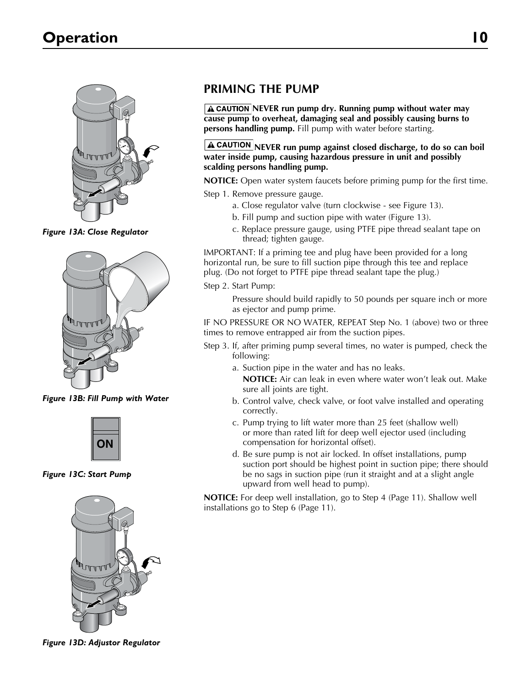

*Figure 13A: Close Regulator*



**Figure 13B: Fill Pump with Water** 



1060a 0697 *Figure 13C: Start Pump*



1030a 0697 *Figure 13D: Adjustor Regulator*

### **PRIMING THE PUMP**

**A CAUTION NEVER run pump dry. Running pump without water may cause pump to overheat, damaging seal and possibly causing burns to persons handling pump.** Fill pump with water before starting.

#### **A CAUTION** NEVER run pump against closed discharge, to do so can boil **water inside pump, causing hazardous pressure in unit and possibly scalding persons handling pump.**

**NOTICE:** Open water system faucets before priming pump for the first time.

- Step 1. Remove pressure gauge.
	- a. Close regulator valve (turn clockwise see Figure 13).
	- b. Fill pump and suction pipe with water (Figure 13).
	- c. Replace pressure gauge, using PTFE pipe thread sealant tape on thread; tighten gauge.

IMPORTANT: If a priming tee and plug have been provided for a long horizontal run, be sure to fill suction pipe through this tee and replace plug. (Do not forget to PTFE pipe thread sealant tape the plug.)

Step 2. Start Pump:

Pressure should build rapidly to 50 pounds per square inch or more as ejector and pump prime.

IF NO PRESSURE OR NO WATER, REPEAT Step No. 1 (above) two or three times to remove entrapped air from the suction pipes.

- Step 3. If, after priming pump several times, no water is pumped, check the following:
	- a. Suction pipe in the water and has no leaks. **NOTICE:** Air can leak in even where water won't leak out. Make sure all joints are tight.
	- b. Control valve, check valve, or foot valve installed and operating correctly.
	- c. Pump trying to lift water more than 25 feet (shallow well) or more than rated lift for deep well ejector used (including compensation for horizontal offset).
	- d. Be sure pump is not air locked. In offset installations, pump suction port should be highest point in suction pipe; there should be no sags in suction pipe (run it straight and at a slight angle upward from well head to pump).

**NOTICE:** For deep well installation, go to Step 4 (Page 11). Shallow well installations go to Step 6 (Page 11).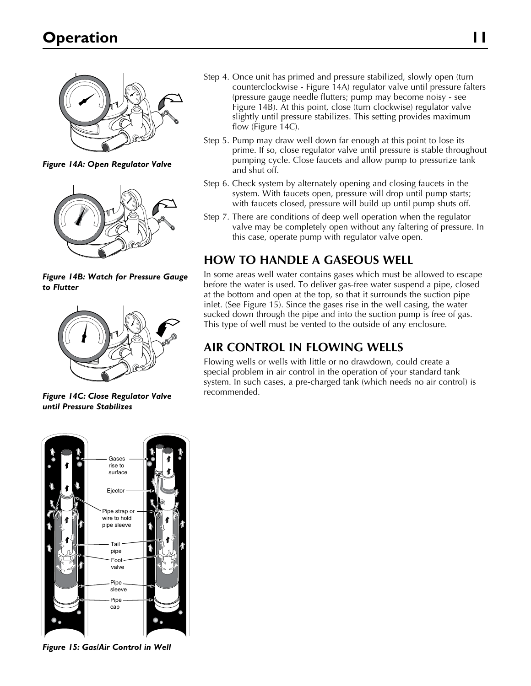

*Figure 14A: Open Regulator Valve* 2871 0697



*Figure 14B: Watch for Pressure Gauge to Flutter*



*Figure 14C: Close Regulator Valve*  2873 0697 *until Pressure Stabilizes*

- Step 4. Once unit has primed and pressure stabilized, slowly open (turn counterclockwise - Figure 14A) regulator valve until pressure falters (pressure gauge needle flutters; pump may become noisy - see Figure 14B). At this point, close (turn clockwise) regulator valve slightly until pressure stabilizes. This setting provides maximum flow (Figure 14C).
- Step 5. Pump may draw well down far enough at this point to lose its prime. If so, close regulator valve until pressure is stable throughout pumping cycle. Close faucets and allow pump to pressurize tank and shut off.
- Step 6. Check system by alternately opening and closing faucets in the system. With faucets open, pressure will drop until pump starts; with faucets closed, pressure will build up until pump shuts off.
- Step 7. There are conditions of deep well operation when the regulator valve may be completely open without any faltering of pressure. In this case, operate pump with regulator valve open.

### **HOW TO HANDLE A GASEOUS WELL**

In some areas well water contains gases which must be allowed to escape before the water is used. To deliver gas-free water suspend a pipe, closed at the bottom and open at the top, so that it surrounds the suction pipe inlet. (See Figure 15). Since the gases rise in the well casing, the water sucked down through the pipe and into the suction pump is free of gas. This type of well must be vented to the outside of any enclosure.

## **AIR CONTROL IN FLOWING WELLS**

Flowing wells or wells with little or no drawdown, could create a special problem in air control in the operation of your standard tank system. In such cases, a pre-charged tank (which needs no air control) is recommended.



*Figure 15: Gas/Air Control in Well* 2876 0697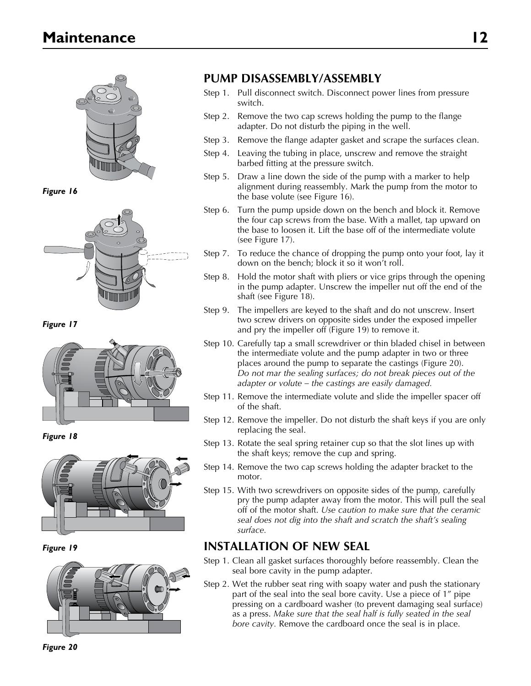

**Figure 16** 



*Figure 17*



*Figure 18*



*Figure 19*



### **Pump Disassembly/ASSEMBLY**

- Step 1. Pull disconnect switch. Disconnect power lines from pressure switch.
- Step 2. Remove the two cap screws holding the pump to the flange adapter. Do not disturb the piping in the well.
- Step 3. Remove the flange adapter gasket and scrape the surfaces clean.
- Step 4. Leaving the tubing in place, unscrew and remove the straight barbed fitting at the pressure switch.
- Step 5. Draw a line down the side of the pump with a marker to help alignment during reassembly. Mark the pump from the motor to the base volute (see Figure 16).
- Step 6. Turn the pump upside down on the bench and block it. Remove the four cap screws from the base. With a mallet, tap upward on the base to loosen it. Lift the base off of the intermediate volute (see Figure 17).
- Step 7. To reduce the chance of dropping the pump onto your foot, lay it down on the bench; block it so it won't roll.
- Step 8. Hold the motor shaft with pliers or vice grips through the opening in the pump adapter. Unscrew the impeller nut off the end of the shaft (see Figure 18).
- Step 9. The impellers are keyed to the shaft and do not unscrew. Insert two screw drivers on opposite sides under the exposed impeller and pry the impeller off (Figure 19) to remove it.
- Step 10. Carefully tap a small screwdriver or thin bladed chisel in between the intermediate volute and the pump adapter in two or three places around the pump to separate the castings (Figure 20). *Do not mar the sealing surfaces; do not break pieces out of the adapter or volute – the castings are easily damaged.*
- Step 11. Remove the intermediate volute and slide the impeller spacer off of the shaft.
- Step 12. Remove the impeller. Do not disturb the shaft keys if you are only replacing the seal.
- Step 13. Rotate the seal spring retainer cup so that the slot lines up with the shaft keys; remove the cup and spring.
- Step 14. Remove the two cap screws holding the adapter bracket to the motor.
- Step 15. With two screwdrivers on opposite sides of the pump, carefully pry the pump adapter away from the motor. This will pull the seal off of the motor shaft. *Use caution to make sure that the ceramic seal does not dig into the shaft and scratch the shaft's sealing surface.*

### **Installation of New Seal**

- Step 1. Clean all gasket surfaces thoroughly before reassembly. Clean the seal bore cavity in the pump adapter.
- Step 2. Wet the rubber seat ring with soapy water and push the stationary part of the seal into the seal bore cavity. Use a piece of 1" pipe pressing on a cardboard washer (to prevent damaging seal surface) as a press. *Make sure that the seal half is fully seated in the seal bore cavity.* Remove the cardboard once the seal is in place.

*Figure 20*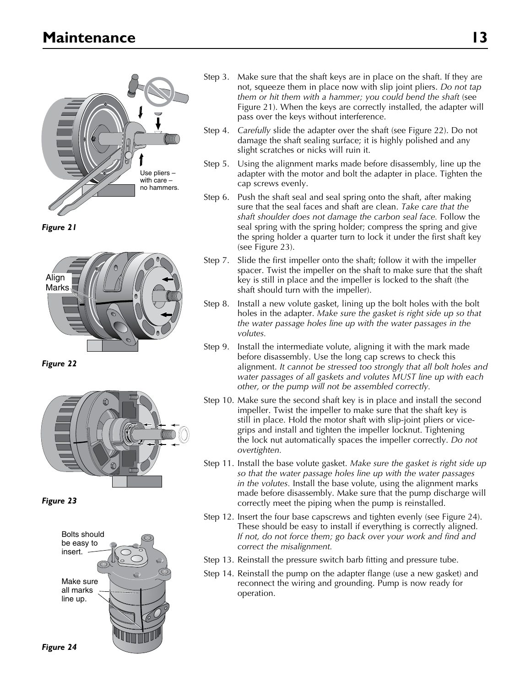

*Figure 21*



*Figure 22*



*Figure 23*



- Step 3. Make sure that the shaft keys are in place on the shaft. If they are not, squeeze them in place now with slip joint pliers. *Do not tap them or hit them with a hammer; you could bend the shaft* (see Figure 21). When the keys are correctly installed, the adapter will pass over the keys without interference.
- Step 4. *Carefully* slide the adapter over the shaft (see Figure 22). Do not damage the shaft sealing surface; it is highly polished and any slight scratches or nicks will ruin it.
- Step 5. Using the alignment marks made before disassembly, line up the adapter with the motor and bolt the adapter in place. Tighten the cap screws evenly.
- Step 6. Push the shaft seal and seal spring onto the shaft, after making sure that the seal faces and shaft are clean. *Take care that the shaft shoulder does not damage the carbon seal face.* Follow the seal spring with the spring holder; compress the spring and give the spring holder a quarter turn to lock it under the first shaft key (see Figure 23).
- Step 7. Slide the first impeller onto the shaft; follow it with the impeller spacer. Twist the impeller on the shaft to make sure that the shaft key is still in place and the impeller is locked to the shaft (the shaft should turn with the impeller).
- Step 8. Install a new volute gasket, lining up the bolt holes with the bolt holes in the adapter. *Make sure the gasket is right side up so that the water passage holes line up with the water passages in the volutes.*
- Step 9. Install the intermediate volute, aligning it with the mark made before disassembly. Use the long cap screws to check this alignment. *It cannot be stressed too strongly that all bolt holes and water passages of all gaskets and volutes MUST line up with each other, or the pump will not be assembled correctly.*
- Step 10. Make sure the second shaft key is in place and install the second impeller. Twist the impeller to make sure that the shaft key is still in place. Hold the motor shaft with slip-joint pliers or vicegrips and install and tighten the impeller locknut. Tightening the lock nut automatically spaces the impeller correctly. *Do not overtighten.*
- Step 11. Install the base volute gasket. *Make sure the gasket is right side up so that the water passage holes line up with the water passages in the volutes.* Install the base volute, using the alignment marks made before disassembly. Make sure that the pump discharge will correctly meet the piping when the pump is reinstalled.
- Step 12. Insert the four base capscrews and tighten evenly (see Figure 24). These should be easy to install if everything is correctly aligned. *If not, do not force them; go back over your work and find and correct the misalignment.*
- Step 13. Reinstall the pressure switch barb fitting and pressure tube.
- Step 14. Reinstall the pump on the adapter flange (use a new gasket) and reconnect the wiring and grounding. Pump is now ready for operation.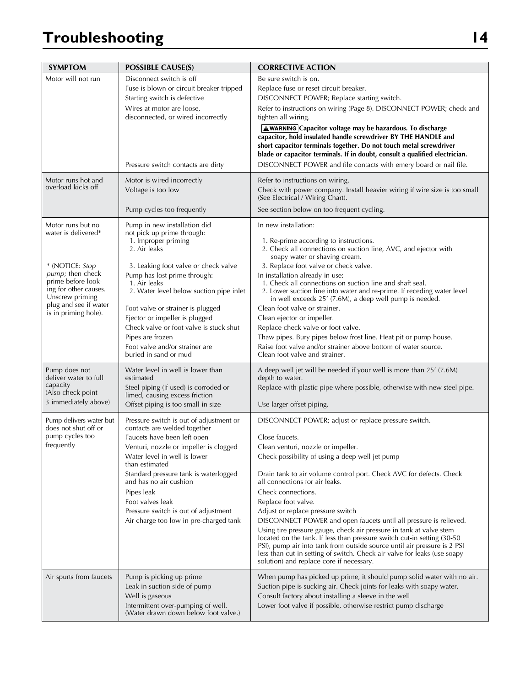# **Troubleshooting 14**

| <b>SYMPTOM</b>                                                                                                | <b>POSSIBLE CAUSE(S)</b>                                                                                                                                                                                                                                                                                                                                                                  | <b>CORRECTIVE ACTION</b>                                                                                                                                                                                                                                                                                                                                                                                                                                                                                                                                                                                                                                                                                                                                                              |
|---------------------------------------------------------------------------------------------------------------|-------------------------------------------------------------------------------------------------------------------------------------------------------------------------------------------------------------------------------------------------------------------------------------------------------------------------------------------------------------------------------------------|---------------------------------------------------------------------------------------------------------------------------------------------------------------------------------------------------------------------------------------------------------------------------------------------------------------------------------------------------------------------------------------------------------------------------------------------------------------------------------------------------------------------------------------------------------------------------------------------------------------------------------------------------------------------------------------------------------------------------------------------------------------------------------------|
| Motor will not run                                                                                            | Disconnect switch is off<br>Fuse is blown or circuit breaker tripped<br>Starting switch is defective<br>Wires at motor are loose,<br>disconnected, or wired incorrectly<br>Pressure switch contacts are dirty                                                                                                                                                                             | Be sure switch is on.<br>Replace fuse or reset circuit breaker.<br>DISCONNECT POWER; Replace starting switch.<br>Refer to instructions on wiring (Page 8). DISCONNECT POWER; check and<br>tighten all wiring.<br>A WARNING Capacitor voltage may be hazardous. To discharge<br>capacitor, hold insulated handle screwdriver BY THE HANDLE and<br>short capacitor terminals together. Do not touch metal screwdriver<br>blade or capacitor terminals. If in doubt, consult a qualified electrician.<br>DISCONNECT POWER and file contacts with emery board or nail file.                                                                                                                                                                                                               |
| Motor runs hot and<br>overload kicks off                                                                      | Motor is wired incorrectly<br>Voltage is too low                                                                                                                                                                                                                                                                                                                                          | Refer to instructions on wiring.<br>Check with power company. Install heavier wiring if wire size is too small<br>(See Electrical / Wiring Chart).                                                                                                                                                                                                                                                                                                                                                                                                                                                                                                                                                                                                                                    |
|                                                                                                               | Pump cycles too frequently                                                                                                                                                                                                                                                                                                                                                                | See section below on too frequent cycling.                                                                                                                                                                                                                                                                                                                                                                                                                                                                                                                                                                                                                                                                                                                                            |
| Motor runs but no<br>water is delivered*<br>* (NOTICE: Stop<br><i>pump</i> ; then check<br>prime before look- | Pump in new installation did<br>not pick up prime through:<br>1. Improper priming<br>2. Air leaks<br>3. Leaking foot valve or check valve<br>Pump has lost prime through:<br>1. Air leaks                                                                                                                                                                                                 | In new installation:<br>1. Re-prime according to instructions.<br>2. Check all connections on suction line, AVC, and ejector with<br>soapy water or shaving cream.<br>3. Replace foot valve or check valve.<br>In installation already in use:<br>1. Check all connections on suction line and shaft seal.                                                                                                                                                                                                                                                                                                                                                                                                                                                                            |
| ing for other causes.<br>Unscrew priming<br>plug and see if water<br>is in priming hole).                     | 2. Water level below suction pipe inlet<br>Foot valve or strainer is plugged<br>Ejector or impeller is plugged<br>Check valve or foot valve is stuck shut<br>Pipes are frozen<br>Foot valve and/or strainer are<br>buried in sand or mud                                                                                                                                                  | 2. Lower suction line into water and re-prime. If receding water level<br>in well exceeds 25' (7.6M), a deep well pump is needed.<br>Clean foot valve or strainer.<br>Clean ejector or impeller.<br>Replace check valve or foot valve.<br>Thaw pipes. Bury pipes below frost line. Heat pit or pump house.<br>Raise foot valve and/or strainer above bottom of water source.<br>Clean foot valve and strainer.                                                                                                                                                                                                                                                                                                                                                                        |
| Pump does not<br>deliver water to full<br>capacity<br>(Also check point<br>3 immediately above)               | Water level in well is lower than<br>estimated<br>Steel piping (if used) is corroded or<br>limed, causing excess friction<br>Offset piping is too small in size                                                                                                                                                                                                                           | A deep well jet will be needed if your well is more than 25' (7.6M)<br>depth to water.<br>Replace with plastic pipe where possible, otherwise with new steel pipe.<br>Use larger offset piping.                                                                                                                                                                                                                                                                                                                                                                                                                                                                                                                                                                                       |
| Pump delivers water but<br>does not shut off or<br>pump cycles too<br>frequently                              | Pressure switch is out of adjustment or<br>contacts are welded together<br>Faucets have been left open<br>Venturi, nozzle or impeller is clogged<br>Water level in well is lower<br>than estimated<br>Standard pressure tank is waterlogged<br>and has no air cushion<br>Pipes leak<br>Foot valves leak<br>Pressure switch is out of adjustment<br>Air charge too low in pre-charged tank | DISCONNECT POWER; adjust or replace pressure switch.<br>Close faucets.<br>Clean venturi, nozzle or impeller.<br>Check possibility of using a deep well jet pump<br>Drain tank to air volume control port. Check AVC for defects. Check<br>all connections for air leaks.<br>Check connections.<br>Replace foot valve.<br>Adjust or replace pressure switch<br>DISCONNECT POWER and open faucets until all pressure is relieved.<br>Using tire pressure gauge, check air pressure in tank at valve stem<br>located on the tank. If less than pressure switch cut-in setting (30-50<br>PSI), pump air into tank from outside source until air pressure is 2 PSI<br>less than cut-in setting of switch. Check air valve for leaks (use soapy<br>solution) and replace core if necessary. |
| Air spurts from faucets                                                                                       | Pump is picking up prime<br>Leak in suction side of pump<br>Well is gaseous<br>Intermittent over-pumping of well.<br>(Water drawn down below foot valve.)                                                                                                                                                                                                                                 | When pump has picked up prime, it should pump solid water with no air.<br>Suction pipe is sucking air. Check joints for leaks with soapy water.<br>Consult factory about installing a sleeve in the well<br>Lower foot valve if possible, otherwise restrict pump discharge                                                                                                                                                                                                                                                                                                                                                                                                                                                                                                           |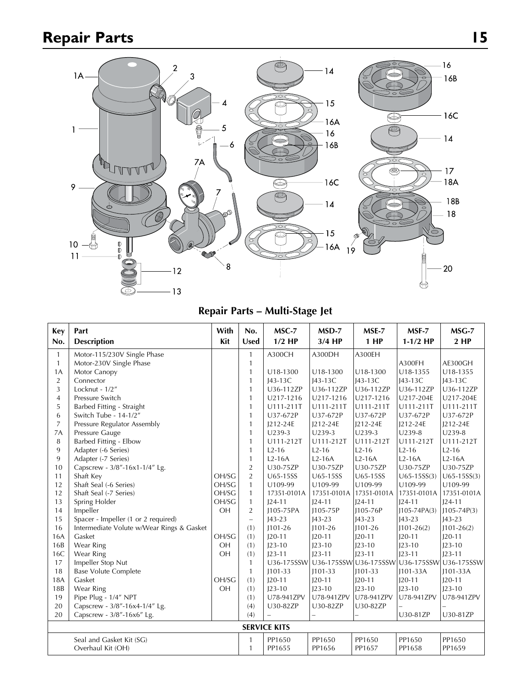# **Repair Parts 15**



**Repair Parts – Multi-Stage Jet**

| <b>Key</b>     | Part                                      | With       | No.                      | MSC-7       | MSD-7       | MSE-7       | MSF-7                                       | $MSG-7$         |
|----------------|-------------------------------------------|------------|--------------------------|-------------|-------------|-------------|---------------------------------------------|-----------------|
| No.            | <b>Description</b>                        | <b>Kit</b> | <b>Used</b>              | $1/2$ HP    | $3/4$ HP    | $1$ HP      | $1-1/2$ HP                                  | $2$ HP          |
| 1              | Motor-115/230V Single Phase               |            | 1                        | A300CH      | A300DH      | A300EH      |                                             |                 |
| $\mathbf{1}$   | Motor-230V Single Phase                   |            | $\mathbf{1}$             |             |             |             | A300FH                                      | AE300GH         |
| 1A             | Motor Canopy                              |            | 1                        | U18-1300    | U18-1300    | U18-1300    | U18-1355                                    | U18-1355        |
| $\overline{2}$ | Connector                                 |            | 1                        | $143-13C$   | J43-13C     | $I43-13C$   | $143-13C$                                   | $143-13C$       |
| $\overline{3}$ | Locknut - 1/2"                            |            | $\mathbf{1}$             | U36-112ZP   | U36-112ZP   | U36-112ZP   | U36-112ZP                                   | U36-112ZP       |
| $\overline{4}$ | Pressure Switch                           |            | 1                        | U217-1216   | U217-1216   | U217-1216   | U217-204E                                   | U217-204E       |
| 5              | Barbed Fitting - Straight                 |            | 1                        | U111-211T   | U111-211T   | U111-211T   | U111-211T                                   | U111-211T       |
| 6              | Switch Tube - 14-1/2"                     |            | 1                        | U37-672P    | U37-672P    | U37-672P    | U37-672P                                    | U37-672P        |
| $\overline{7}$ | Pressure Regulator Assembly               |            | 1                        | J212-24E    | J212-24E    | J212-24E    | J212-24E                                    | J212-24E        |
| 7A             | Pressure Gauge                            |            | 1                        | U239-3      | $U239-3$    | U239-3      | U239-8                                      | U239-8          |
| 8              | Barbed Fitting - Elbow                    |            | 1                        | U111-212T   | U111-212T   | U111-212T   | U111-212T                                   | U111-212T       |
| 9              | Adapter (-6 Series)                       |            | $\mathbf{1}$             | $L2-16$     | $L2-16$     | $L2-16$     | $L2-16$                                     | $L2-16$         |
| 9              | Adapter (-7 Series)                       |            | 1                        | $L2-16A$    | $L2-16A$    | $L2-16A$    | $L2-16A$                                    | $L2-16A$        |
| 10             | Capscrew - 3/8"-16x1-1/4" Lg.             |            | $\overline{2}$           | U30-75ZP    | U30-75ZP    | U30-75ZP    | U30-75ZP                                    | U30-75ZP        |
| 11             | Shaft Key                                 | OH/SG      | $\overline{2}$           | U65-15SS    | U65-15SS    | U65-15SS    | $U65 - 15SS(3)$                             | $U65 - 15SS(3)$ |
| 12             | Shaft Seal (-6 Series)                    | OH/SG      | $\mathbf{1}$             | U109-99     | U109-99     | U109-99     | U109-99                                     | U109-99         |
| 12             | Shaft Seal (-7 Series)                    | OH/SG      | $\mathbf{1}$             | 17351-0101A | 17351-0101A | 17351-0101A | 17351-0101A                                 | 17351-0101A     |
| 13             | Spring Holder                             | OH/SG      | $\mathbf{1}$             | $124 - 11$  | $124 - 11$  | $124 - 11$  | $124 - 11$                                  | $124 - 11$      |
| 14             | Impeller                                  | OH         | $\overline{2}$           | J105-75PA   | J105-75P    | 1105-76P    | $1105 - 74PA(3)$                            | $1105 - 74P(3)$ |
| 15             | Spacer - Impeller (1 or 2 required)       |            | $\overline{\phantom{0}}$ | $143 - 23$  | $143 - 23$  | $143 - 23$  | $143 - 23$                                  | $143 - 23$      |
| 16             | Intermediate Volute w/Wear Rings & Gasket |            | (1)                      | $1101 - 26$ | $1101 - 26$ | $1101 - 26$ | $1101 - 26(2)$                              | $1101 - 26(2)$  |
| 16A            | Gasket                                    | OH/SG      | (1)                      | $120 - 11$  | $120 - 11$  | $120 - 11$  | $120 - 11$                                  | $120 - 11$      |
| 16B            | Wear Ring                                 | OH         | (1)                      | $123 - 10$  | $123 - 10$  | $123 - 10$  | $123 - 10$                                  | $123 - 10$      |
| 16C            | Wear Ring                                 | OH         | (1)                      | $123 - 11$  | $J23-11$    | $123 - 11$  | $123 - 11$                                  | $123 - 11$      |
| 17             | Impeller Stop Nut                         |            | $\mathbf{1}$             |             |             |             | U36-175SSW U36-175SSW U36-175SSW U36-175SSW | U36-175SSW      |
| 18             | <b>Base Volute Complete</b>               |            | $\mathbf{1}$             | $J101-33$   | $J101-33$   | $1101 - 33$ | $1101 - 33A$                                | $1101-33A$      |
| 18A            | Gasket                                    | OH/SG      | (1)                      | $120 - 11$  | $120 - 11$  | $120 - 11$  | $120 - 11$                                  | $120 - 11$      |
| 18B            | Wear Ring                                 | OH         | (1)                      | $123 - 10$  | $123 - 10$  | $123 - 10$  | $123 - 10$                                  | $123 - 10$      |
| 19             | Pipe Plug - 1/4" NPT                      |            | (1)                      | U78-941ZPV  | U78-941ZPV  | U78-941ZPV  | U78-941ZPV                                  | U78-941ZPV      |
| 20             | Capscrew - 3/8"-16x4-1/4" Lg.             |            | (4)                      | U30-82ZP    | U30-82ZP    | U30-82ZP    |                                             |                 |
| 20             | Capscrew - 3/8"-16x6" Lg.                 |            | (4)                      |             | -           |             | U30-81ZP                                    | U30-81ZP        |
|                | <b>SERVICE KITS</b>                       |            |                          |             |             |             |                                             |                 |
|                | Seal and Gasket Kit (SG)                  |            | 1                        | PP1650      | PP1650      | PP1650      | PP1650                                      | PP1650          |
|                | Overhaul Kit (OH)                         |            | 1                        | PP1655      | PP1656      | PP1657      | PP1658                                      | PP1659          |